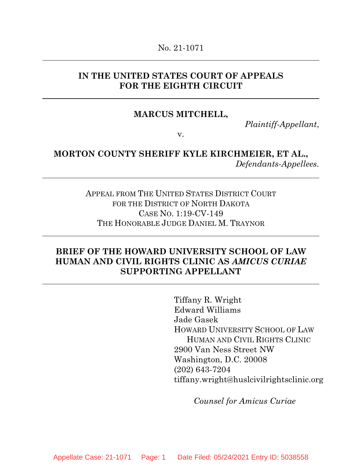### **IN THE UNITED STATES COURT OF APPEALS FOR THE EIGHTH CIRCUIT**

### **MARCUS MITCHELL,**

*Plaintiff-Appellant*,

v.

# **MORTON COUNTY SHERIFF KYLE KIRCHMEIER, ET AL.,**  *Defendants-Appellees*.

APPEAL FROM THE UNITED STATES DISTRICT COURT FOR THE DISTRICT OF NORTH DAKOTA CASE NO. 1:19-CV-149 THE HONORABLE JUDGE DANIEL M. TRAYNOR

# **BRIEF OF THE HOWARD UNIVERSITY SCHOOL OF LAW HUMAN AND CIVIL RIGHTS CLINIC AS** *AMICUS CURIAE* **SUPPORTING APPELLANT**

Tiffany R. Wright Edward Williams Jade Gasek HOWARD UNIVERSITY SCHOOL OF LAW HUMAN AND CIVIL RIGHTS CLINIC 2900 Van Ness Street NW Washington, D.C. 20008 (202) 643-7204 tiffany.wright@huslcivilrightsclinic.org

*Counsel for Amicus Curiae*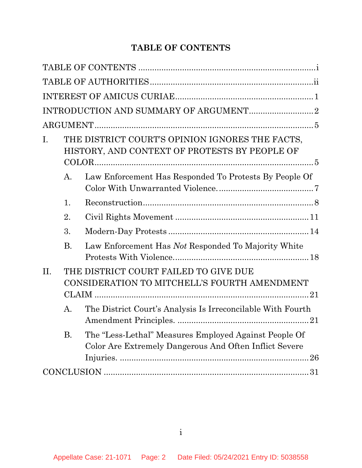# **TABLE OF CONTENTS**

<span id="page-1-0"></span>

| Ι.  |           | THE DISTRICT COURT'S OPINION IGNORES THE FACTS,<br>HISTORY, AND CONTEXT OF PROTESTS BY PEOPLE OF                |  |
|-----|-----------|-----------------------------------------------------------------------------------------------------------------|--|
|     | A.        | Law Enforcement Has Responded To Protests By People Of                                                          |  |
|     | 1.        |                                                                                                                 |  |
|     | 2.        |                                                                                                                 |  |
|     | 3.        |                                                                                                                 |  |
|     | <b>B.</b> | Law Enforcement Has Not Responded To Majority White                                                             |  |
| II. |           | THE DISTRICT COURT FAILED TO GIVE DUE<br>CONSIDERATION TO MITCHELL'S FOURTH AMENDMENT                           |  |
|     | $A$ .     | The District Court's Analysis Is Irreconcilable With Fourth                                                     |  |
|     | <b>B.</b> | The "Less-Lethal" Measures Employed Against People Of<br>Color Are Extremely Dangerous And Often Inflict Severe |  |
|     |           |                                                                                                                 |  |
|     |           |                                                                                                                 |  |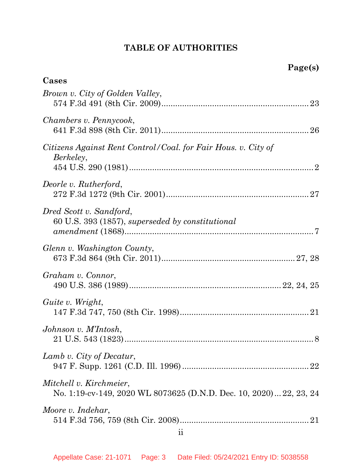# **TABLE OF AUTHORITIES**

<span id="page-2-0"></span>

| Cases                                                                                         |
|-----------------------------------------------------------------------------------------------|
| Brown v. City of Golden Valley,                                                               |
| Chambers v. Pennycook,                                                                        |
| Citizens Against Rent Control/Coal. for Fair Hous. v. City of<br>Berkeley,                    |
| Deorle v. Rutherford,                                                                         |
| Dred Scott v. Sandford,<br>60 U.S. 393 (1857), superseded by constitutional                   |
| Glenn v. Washington County,                                                                   |
| Graham v. Connor,                                                                             |
| Guite v. Wright,                                                                              |
| Johnson v. M'Intosh,<br>21 U.S. 543 (1823)<br>8                                               |
| Lamb v. City of Decatur,                                                                      |
| Mitchell v. Kirchmeier,<br>No. 1:19-cv-149, 2020 WL 8073625 (D.N.D. Dec. 10, 2020) 22, 23, 24 |
| Moore v. Indehar,                                                                             |
| $\overline{\textbf{ii}}$                                                                      |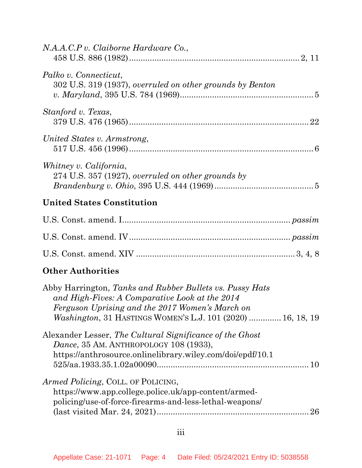| N.A.A.C.P v. Claiborne Hardware Co.,                                                                                                                                                                                         |    |
|------------------------------------------------------------------------------------------------------------------------------------------------------------------------------------------------------------------------------|----|
| Palko v. Connecticut,<br>302 U.S. 319 (1937), overruled on other grounds by Benton                                                                                                                                           |    |
| Stanford v. Texas,                                                                                                                                                                                                           |    |
| United States v. Armstrong,                                                                                                                                                                                                  |    |
| Whitney v. California,<br>274 U.S. 357 (1927), overruled on other grounds by                                                                                                                                                 |    |
| <b>United States Constitution</b>                                                                                                                                                                                            |    |
|                                                                                                                                                                                                                              |    |
|                                                                                                                                                                                                                              |    |
|                                                                                                                                                                                                                              |    |
| <b>Other Authorities</b>                                                                                                                                                                                                     |    |
| Abby Harrington, Tanks and Rubber Bullets vs. Pussy Hats<br>and High-Fives: A Comparative Look at the 2014<br>Ferguson Uprising and the 2017 Women's March on<br>Washington, 31 HASTINGS WOMEN'S L.J. 101 (2020)  16, 18, 19 |    |
| Alexander Lesser, The Cultural Significance of the Ghost<br>Dance, 35 AM. ANTHROPOLOGY 108 (1933),<br>https://anthrosource.onlinelibrary.wiley.com/doi/epdf/10.1                                                             |    |
| Armed Policing, COLL. OF POLICING,<br>https://www.app.college.police.uk/app-content/armed-<br>policing/use-of-force-firearms-and-less-lethal-weapons/                                                                        | 26 |

iii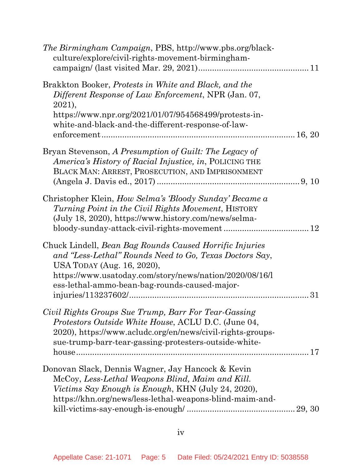| <i>The Birmingham Campaign</i> , PBS, http://www.pbs.org/black-<br>culture/explore/civil-rights-movement-birmingham-                                                                                                                                                |    |
|---------------------------------------------------------------------------------------------------------------------------------------------------------------------------------------------------------------------------------------------------------------------|----|
| Brakkton Booker, Protests in White and Black, and the<br>Different Response of Law Enforcement, NPR (Jan. 07,<br>2021,<br>https://www.npr.org/2021/01/07/954568499/protests-in-<br>white-and-black-and-the-different-response-of-law-                               |    |
| Bryan Stevenson, A Presumption of Guilt: The Legacy of<br><i>America's History of Racial Injustice, in, POLICING THE</i><br>BLACK MAN: ARREST, PROSECUTION, AND IMPRISONMENT                                                                                        |    |
| Christopher Klein, <i>How Selma's 'Bloody Sunday' Became a</i><br><i>Turning Point in the Civil Rights Movement, HISTORY</i><br>(July 18, 2020), https://www.history.com/news/selma-                                                                                | 12 |
| Chuck Lindell, <i>Bean Bag Rounds Caused Horrific Injuries</i><br>and "Less-Lethal" Rounds Need to Go, Texas Doctors Say,<br>USA TODAY (Aug. 16, 2020),<br>https://www.usatoday.com/story/news/nation/2020/08/16/1<br>ess-lethal-ammo-bean-bag-rounds-caused-major- | 31 |
| Civil Rights Groups Sue Trump, Barr For Tear-Gassing<br><i>Protestors Outside White House, ACLU D.C. (June 04,</i><br>2020), https://www.acludc.org/en/news/civil-rights-groups-<br>sue-trump-barr-tear-gassing-protesters-outside-white-                           |    |
| Donovan Slack, Dennis Wagner, Jay Hancock & Kevin<br>McCoy, Less-Lethal Weapons Blind, Maim and Kill.<br><i>Victims Say Enough is Enough, KHN (July 24, 2020),</i><br>https://khn.org/news/less-lethal-weapons-blind-maim-and-                                      |    |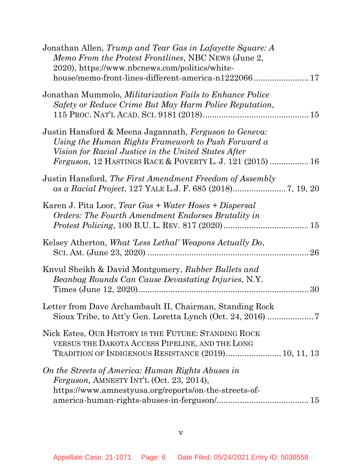| Jonathan Allen, Trump and Tear Gas in Lafayette Square: A<br>Memo From the Protest Frontlines, NBC NEWS (June 2,<br>2020), https://www.nbcnews.com/politics/white-<br>house/memo-front-lines-different-america-n122206617                 |
|-------------------------------------------------------------------------------------------------------------------------------------------------------------------------------------------------------------------------------------------|
| Jonathan Mummolo, <i>Militarization Fails to Enhance Police</i><br>Safety or Reduce Crime But May Harm Police Reputation,                                                                                                                 |
| Justin Hansford & Meena Jagannath, Ferguson to Geneva:<br>Using the Human Rights Framework to Push Forward a<br>Vision for Racial Justice in the United States After<br><i>Ferguson</i> , 12 HASTINGS RACE & POVERTY L. J. 121 (2015)  16 |
| Justin Hansford, The First Amendment Freedom of Assembly                                                                                                                                                                                  |
| Karen J. Pita Loor, Tear Gas + Water Hoses + Dispersal<br>Orders: The Fourth Amendment Endorses Brutality in                                                                                                                              |
| Kelsey Atherton, <i>What 'Less Lethal' Weapons Actually Do</i> ,                                                                                                                                                                          |
| Knyul Sheikh & David Montgomery, Rubber Bullets and<br>Beanbag Rounds Can Cause Devastating Injuries, N.Y.<br>30                                                                                                                          |
| Letter from Dave Archambault II, Chairman, Standing Rock                                                                                                                                                                                  |
| Nick Estes, OUR HISTORY IS THE FUTURE: STANDING ROCK<br>VERSUS THE DAKOTA ACCESS PIPELINE, AND THE LONG<br>TRADITION OF INDIGENOUS RESISTANCE (2019) 10, 11, 13                                                                           |
| On the Streets of America: Human Rights Abuses in<br><i>Ferguson, AMNESTY INT'L (Oct. 23, 2014),</i><br>https://www.amnestyusa.org/reports/on-the-streets-of-                                                                             |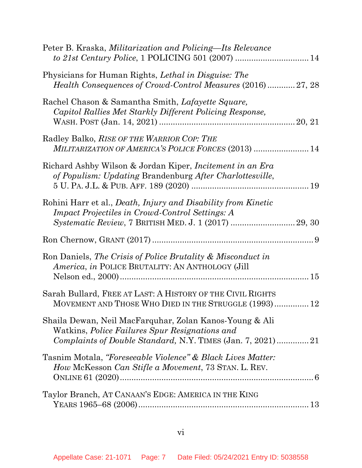| Peter B. Kraska, <i>Militarization and Policing—Its Relevance</i>                                                                                                                       |
|-----------------------------------------------------------------------------------------------------------------------------------------------------------------------------------------|
| Physicians for Human Rights, <i>Lethal in Disguise: The</i><br>Health Consequences of Crowd-Control Measures (2016)27, 28                                                               |
| Rachel Chason & Samantha Smith, Lafayette Square,<br>Capitol Rallies Met Starkly Different Policing Response,                                                                           |
| Radley Balko, RISE OF THE WARRIOR COP: THE<br>MILITARIZATION OF AMERICA'S POLICE FORCES (2013)  14                                                                                      |
| Richard Ashby Wilson & Jordan Kiper, <i>Incitement in an Era</i><br>of Populism: Updating Brandenburg After Charlottesville,                                                            |
| Rohini Harr et al., <i>Death, Injury and Disability from Kinetic</i><br><i>Impact Projectiles in Crowd-Control Settings: A</i><br>Systematic Review, 7 BRITISH MED. J. 1 (2017)  29, 30 |
|                                                                                                                                                                                         |
| Ron Daniels, The Crisis of Police Brutality & Misconduct in<br>America, in POLICE BRUTALITY: AN ANTHOLOGY (Jill                                                                         |
| Sarah Bullard, FREE AT LAST: A HISTORY OF THE CIVIL RIGHTS<br>MOVEMENT AND THOSE WHO DIED IN THE STRUGGLE (1993) 12                                                                     |
| Shaila Dewan, Neil MacFarquhar, Zolan Kanos-Young & Ali<br>Watkins, <i>Police Failures Spur Resignations and</i><br>Complaints of Double Standard, N.Y. TIMES (Jan. 7, 2021)21          |
| Tasnim Motala, "Foreseeable Violence" & Black Lives Matter:<br><i>How</i> McKesson <i>Can Stifle a Movement</i> , 73 STAN. L. REV.                                                      |
| Taylor Branch, AT CANAAN'S EDGE: AMERICA IN THE KING                                                                                                                                    |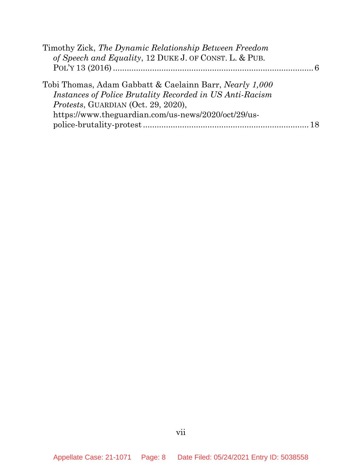| Timothy Zick, The Dynamic Relationship Between Freedom                                                                                                                                                            |    |
|-------------------------------------------------------------------------------------------------------------------------------------------------------------------------------------------------------------------|----|
| of Speech and Equality, 12 DUKE J. OF CONST. L. & PUB.                                                                                                                                                            |    |
|                                                                                                                                                                                                                   |    |
| Tobi Thomas, Adam Gabbatt & Caelainn Barr, Nearly 1,000<br>Instances of Police Brutality Recorded in US Anti-Racism<br>Protests, GUARDIAN (Oct. 29, 2020),<br>https://www.theguardian.com/us-news/2020/oct/29/us- |    |
|                                                                                                                                                                                                                   | 18 |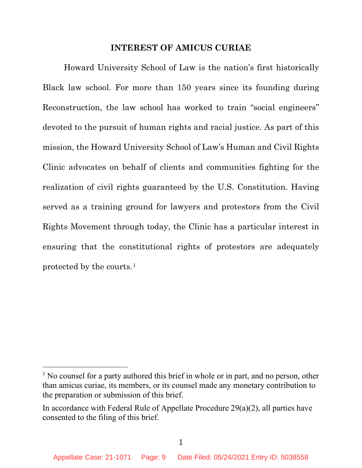#### **INTEREST OF AMICUS CURIAE**

<span id="page-8-0"></span>Howard University School of Law is the nation's first historically Black law school. For more than 150 years since its founding during Reconstruction, the law school has worked to train "social engineers" devoted to the pursuit of human rights and racial justice. As part of this mission, the Howard University School of Law's Human and Civil Rights Clinic advocates on behalf of clients and communities fighting for the realization of civil rights guaranteed by the U.S. Constitution. Having served as a training ground for lawyers and protestors from the Civil Rights Movement through today, the Clinic has a particular interest in ensuring that the constitutional rights of protestors are adequately protected by the courts.[1](#page-8-1)

<span id="page-8-1"></span> $<sup>1</sup>$  No counsel for a party authored this brief in whole or in part, and no person, other</sup> than amicus curiae, its members, or its counsel made any monetary contribution to the preparation or submission of this brief.

In accordance with Federal Rule of Appellate Procedure 29(a)(2), all parties have consented to the filing of this brief.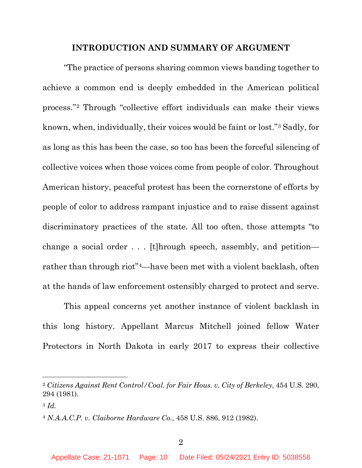#### **INTRODUCTION AND SUMMARY OF ARGUMENT**

<span id="page-9-0"></span>"The practice of persons sharing common views banding together to achieve a common end is deeply embedded in the American political process."[2](#page-9-3) Through "collective effort individuals can make their views known, when, individually, their voices would be faint or lost."[3](#page-9-4) Sadly, for as long as this has been the case, so too has been the forceful silencing of collective voices when those voices come from people of color. Throughout American history, peaceful protest has been the cornerstone of efforts by people of color to address rampant injustice and to raise dissent against discriminatory practices of the state. All too often, those attempts "to change a social order . . . [t]hrough speech, assembly, and petition rather than through riot"[4—](#page-9-5)have been met with a violent backlash, often at the hands of law enforcement ostensibly charged to protect and serve.

This appeal concerns yet another instance of violent backlash in this long history. Appellant Marcus Mitchell joined fellow Water Protectors in North Dakota in early 2017 to express their collective

<span id="page-9-3"></span><span id="page-9-1"></span><sup>2</sup> *Citizens Against Rent Control/Coal. for Fair Hous. v. City of Berkeley*, 454 U.S. 290, 294 (1981).

<span id="page-9-4"></span><sup>3</sup> *Id.*

<span id="page-9-5"></span><span id="page-9-2"></span><sup>4</sup> *N.A.A.C.P. v. Claiborne Hardware Co.*, 458 U.S. 886, 912 (1982).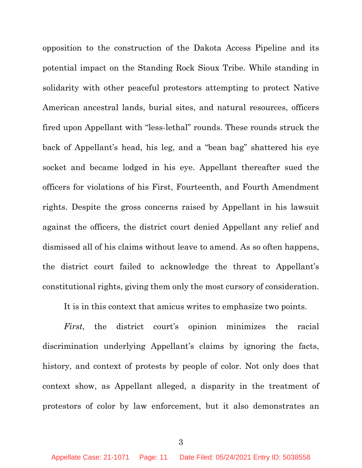opposition to the construction of the Dakota Access Pipeline and its potential impact on the Standing Rock Sioux Tribe. While standing in solidarity with other peaceful protestors attempting to protect Native American ancestral lands, burial sites, and natural resources, officers fired upon Appellant with "less-lethal" rounds. These rounds struck the back of Appellant's head, his leg, and a "bean bag" shattered his eye socket and became lodged in his eye. Appellant thereafter sued the officers for violations of his First, Fourteenth, and Fourth Amendment rights. Despite the gross concerns raised by Appellant in his lawsuit against the officers, the district court denied Appellant any relief and dismissed all of his claims without leave to amend. As so often happens, the district court failed to acknowledge the threat to Appellant's constitutional rights, giving them only the most cursory of consideration.

<span id="page-10-0"></span>It is in this context that amicus writes to emphasize two points.

*First*, the district court's opinion minimizes the racial discrimination underlying Appellant's claims by ignoring the facts, history, and context of protests by people of color. Not only does that context show, as Appellant alleged, a disparity in the treatment of protestors of color by law enforcement, but it also demonstrates an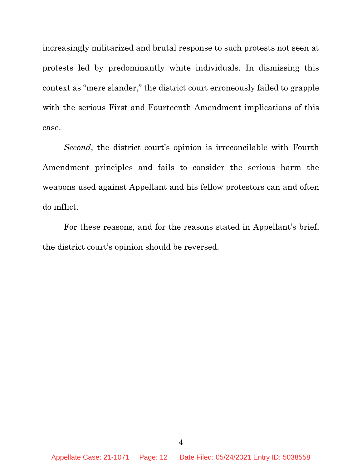increasingly militarized and brutal response to such protests not seen at protests led by predominantly white individuals. In dismissing this context as "mere slander," the district court erroneously failed to grapple with the serious First and Fourteenth Amendment implications of this case.

<span id="page-11-0"></span>*Second*, the district court's opinion is irreconcilable with Fourth Amendment principles and fails to consider the serious harm the weapons used against Appellant and his fellow protestors can and often do inflict.

For these reasons, and for the reasons stated in Appellant's brief, the district court's opinion should be reversed.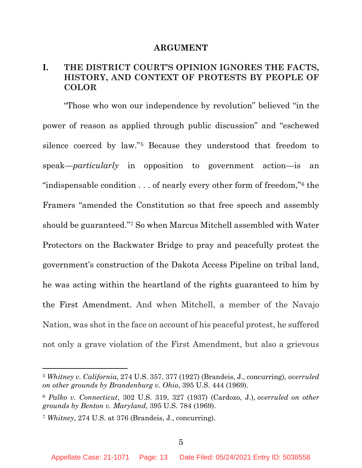#### **ARGUMENT**

# <span id="page-12-1"></span><span id="page-12-0"></span>**I. THE DISTRICT COURT'S OPINION IGNORES THE FACTS, HISTORY, AND CONTEXT OF PROTESTS BY PEOPLE OF COLOR**

"Those who won our independence by revolution" believed "in the power of reason as applied through public discussion" and "eschewed silence coerced by law."[5](#page-12-4) Because they understood that freedom to speak—*particularly* in opposition to government action—is an "indispensable condition . . . of nearly every other form of freedom,"[6](#page-12-5) the Framers "amended the Constitution so that free speech and assembly should be guaranteed."[7](#page-12-6) So when Marcus Mitchell assembled with Water Protectors on the Backwater Bridge to pray and peacefully protest the government's construction of the Dakota Access Pipeline on tribal land, he was acting within the heartland of the rights guaranteed to him by the First Amendment. And when Mitchell, a member of the Navajo Nation, was shot in the face on account of his peaceful protest, he suffered not only a grave violation of the First Amendment, but also a grievous

<span id="page-12-4"></span><span id="page-12-3"></span><sup>5</sup> *Whitney v. California*, 274 U.S. 357, 377 (1927) (Brandeis, J., concurring), *overruled on other grounds by Brandenburg v. Ohio*, 395 U.S. 444 (1969).

<span id="page-12-5"></span><span id="page-12-2"></span><sup>6</sup> *Palko v. Connecticut*, 302 U.S. 319, 327 (1937) (Cardozo, J.), *overruled on other grounds by Benton v. Maryland*, 395 U.S. 784 (1969).

<span id="page-12-6"></span><sup>7</sup> *Whitney*, 274 U.S. at 376 (Brandeis, J., concurring).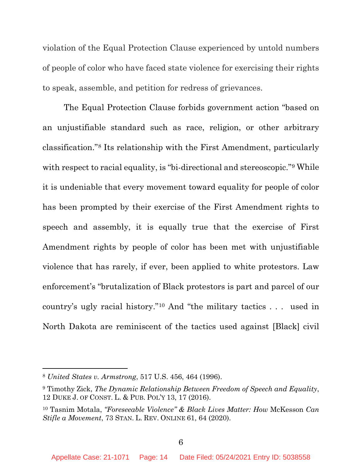violation of the Equal Protection Clause experienced by untold numbers of people of color who have faced state violence for exercising their rights to speak, assemble, and petition for redress of grievances.

The Equal Protection Clause forbids government action "based on an unjustifiable standard such as race, religion, or other arbitrary classification."[8](#page-13-3) Its relationship with the First Amendment, particularly with respect to racial equality, is "bi-directional and stereoscopic."<sup>[9](#page-13-4)</sup> While it is undeniable that every movement toward equality for people of color has been prompted by their exercise of the First Amendment rights to speech and assembly, it is equally true that the exercise of First Amendment rights by people of color has been met with unjustifiable violence that has rarely, if ever, been applied to white protestors. Law enforcement's "brutalization of Black protestors is part and parcel of our country's ugly racial history."[10](#page-13-5) And "the military tactics . . . used in North Dakota are reminiscent of the tactics used against [Black] civil

<span id="page-13-3"></span><span id="page-13-0"></span><sup>8</sup> *United States v. Armstrong*, 517 U.S. 456, 464 (1996).

<span id="page-13-4"></span><span id="page-13-2"></span><sup>9</sup> Timothy Zick, *The Dynamic Relationship Between Freedom of Speech and Equality*, 12 DUKE J. OF CONST. L. & PUB. POL'Y 13, 17 (2016).

<span id="page-13-5"></span><span id="page-13-1"></span><sup>10</sup> Tasnim Motala, *"Foreseeable Violence" & Black Lives Matter: How* McKesson *Can Stifle a Movement*, 73 STAN. L. REV. ONLINE 61, 64 (2020).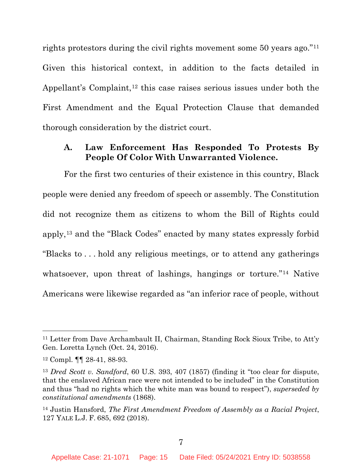rights protestors during the civil rights movement some 50 years ago."[11](#page-14-3) Given this historical context, in addition to the facts detailed in Appellant's Complaint,<sup>[12](#page-14-4)</sup> this case raises serious issues under both the First Amendment and the Equal Protection Clause that demanded thorough consideration by the district court.

### <span id="page-14-0"></span>**A. Law Enforcement Has Responded To Protests By People Of Color With Unwarranted Violence.**

For the first two centuries of their existence in this country, Black people were denied any freedom of speech or assembly. The Constitution did not recognize them as citizens to whom the Bill of Rights could apply,[13](#page-14-5) and the "Black Codes" enacted by many states expressly forbid "Blacks to . . . hold any religious meetings, or to attend any gatherings whatsoever, upon threat of lashings, hangings or torture."<sup>[14](#page-14-6)</sup> Native Americans were likewise regarded as "an inferior race of people, without

<span id="page-14-3"></span><sup>11</sup> Letter from Dave Archambault II, Chairman, Standing Rock Sioux Tribe, to Att'y Gen. Loretta Lynch (Oct. 24, 2016).

<span id="page-14-4"></span><sup>12</sup> Compl. ¶¶ 28-41, 88-93.

<span id="page-14-5"></span><span id="page-14-1"></span><sup>13</sup> *Dred Scott v. Sandford*, 60 U.S. 393, 407 (1857) (finding it "too clear for dispute, that the enslaved African race were not intended to be included" in the Constitution and thus "had no rights which the white man was bound to respect"), *superseded by constitutional amendments* (1868).

<span id="page-14-6"></span><span id="page-14-2"></span><sup>14</sup> Justin Hansford, *The First Amendment Freedom of Assembly as a Racial Project*, 127 YALE L.J. F. 685, 692 (2018).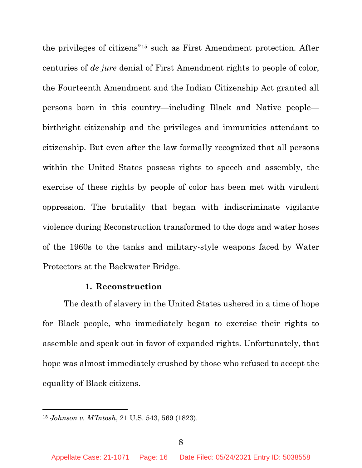the privileges of citizens"[15](#page-15-2) such as First Amendment protection. After centuries of *de jure* denial of First Amendment rights to people of color, the Fourteenth Amendment and the Indian Citizenship Act granted all persons born in this country—including Black and Native people birthright citizenship and the privileges and immunities attendant to citizenship. But even after the law formally recognized that all persons within the United States possess rights to speech and assembly, the exercise of these rights by people of color has been met with virulent oppression. The brutality that began with indiscriminate vigilante violence during Reconstruction transformed to the dogs and water hoses of the 1960s to the tanks and military-style weapons faced by Water Protectors at the Backwater Bridge.

#### **1. Reconstruction**

<span id="page-15-0"></span>The death of slavery in the United States ushered in a time of hope for Black people, who immediately began to exercise their rights to assemble and speak out in favor of expanded rights. Unfortunately, that hope was almost immediately crushed by those who refused to accept the equality of Black citizens.

<span id="page-15-2"></span><span id="page-15-1"></span><sup>15</sup> *Johnson v. M'Intosh*, 21 U.S. 543, 569 (1823).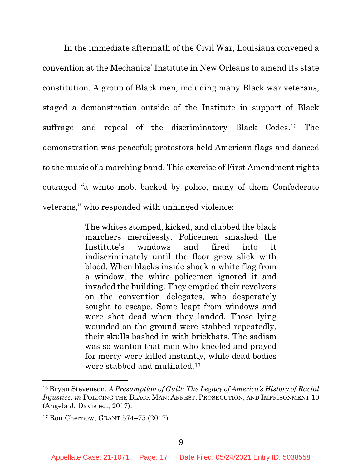In the immediate aftermath of the Civil War, Louisiana convened a convention at the Mechanics' Institute in New Orleans to amend its state constitution. A group of Black men, including many Black war veterans, staged a demonstration outside of the Institute in support of Black suffrage and repeal of the discriminatory Black Codes.[16](#page-16-2) The demonstration was peaceful; protestors held American flags and danced to the music of a marching band. This exercise of First Amendment rights outraged "a white mob, backed by police, many of them Confederate veterans," who responded with unhinged violence:

> The whites stomped, kicked, and clubbed the black marchers mercilessly. Policemen smashed the Institute's windows and fired into it indiscriminately until the floor grew slick with blood. When blacks inside shook a white flag from a window, the white policemen ignored it and invaded the building. They emptied their revolvers on the convention delegates, who desperately sought to escape. Some leapt from windows and were shot dead when they landed. Those lying wounded on the ground were stabbed repeatedly, their skulls bashed in with brickbats. The sadism was so wanton that men who kneeled and prayed for mercy were killed instantly, while dead bodies were stabbed and mutilated.[17](#page-16-3)

<span id="page-16-2"></span><span id="page-16-0"></span><sup>16</sup> Bryan Stevenson, *A Presumption of Guilt: The Legacy of America's History of Racial Injustice, in* POLICING THE BLACK MAN: ARREST, PROSECUTION, AND IMPRISONMENT 10 (Angela J. Davis ed., 2017).

<span id="page-16-3"></span><span id="page-16-1"></span><sup>17</sup> Ron Chernow, GRANT 574–75 (2017).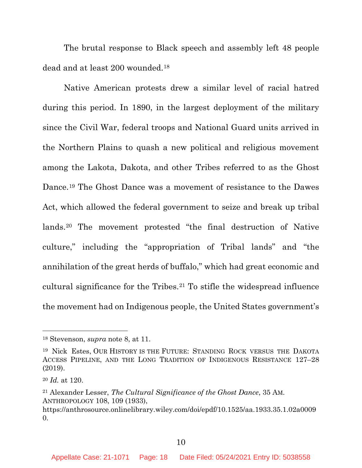The brutal response to Black speech and assembly left 48 people dead and at least 200 wounded.[18](#page-17-3) 

Native American protests drew a similar level of racial hatred during this period. In 1890, in the largest deployment of the military since the Civil War, federal troops and National Guard units arrived in the Northern Plains to quash a new political and religious movement among the Lakota, Dakota, and other Tribes referred to as the Ghost Dance.[19](#page-17-4) The Ghost Dance was a movement of resistance to the Dawes Act, which allowed the federal government to seize and break up tribal lands.[20](#page-17-5) The movement protested "the final destruction of Native culture," including the "appropriation of Tribal lands" and "the annihilation of the great herds of buffalo," which had great economic and cultural significance for the Tribes.[21](#page-17-6) To stifle the widespread influence the movement had on Indigenous people, the United States government's

<span id="page-17-3"></span><span id="page-17-1"></span><sup>18</sup> Stevenson, *supra* note 8, at 11.

<span id="page-17-4"></span><span id="page-17-2"></span><sup>19</sup> Nick Estes, OUR HISTORY IS THE FUTURE: STANDING ROCK VERSUS THE DAKOTA ACCESS PIPELINE, AND THE LONG TRADITION OF INDIGENOUS RESISTANCE 127–28 (2019).

<span id="page-17-5"></span><sup>20</sup> *Id.* at 120.

<span id="page-17-6"></span><span id="page-17-0"></span><sup>21</sup> Alexander Lesser, *The Cultural Significance of the Ghost Dance*, 35 AM. ANTHROPOLOGY 108, 109 (1933),

https://anthrosource.onlinelibrary.wiley.com/doi/epdf/10.1525/aa.1933.35.1.02a0009 0.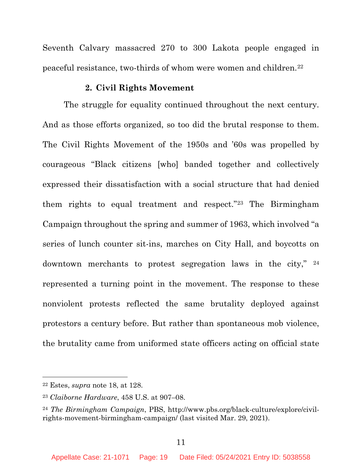Seventh Calvary massacred 270 to 300 Lakota people engaged in peaceful resistance, two-thirds of whom were women and children.[22](#page-18-4)

#### **2. Civil Rights Movement**

<span id="page-18-0"></span>The struggle for equality continued throughout the next century. And as those efforts organized, so too did the brutal response to them. The Civil Rights Movement of the 1950s and '60s was propelled by courageous "Black citizens [who] banded together and collectively expressed their dissatisfaction with a social structure that had denied them rights to equal treatment and respect."[23](#page-18-5) The Birmingham Campaign throughout the spring and summer of 1963, which involved "a series of lunch counter sit-ins, marches on City Hall, and boycotts on downtown merchants to protest segregation laws in the city," [24](#page-18-6) represented a turning point in the movement. The response to these nonviolent protests reflected the same brutality deployed against protestors a century before. But rather than spontaneous mob violence, the brutality came from uniformed state officers acting on official state

<span id="page-18-4"></span><span id="page-18-3"></span><sup>22</sup> Estes, *supra* note 18, at 128.

<span id="page-18-5"></span><span id="page-18-1"></span><sup>23</sup> *Claiborne Hardware*, 458 U.S. at 907–08.

<span id="page-18-6"></span><span id="page-18-2"></span><sup>24</sup> *The Birmingham Campaign*, PBS, http://www.pbs.org/black-culture/explore/civilrights-movement-birmingham-campaign/ (last visited Mar. 29, 2021).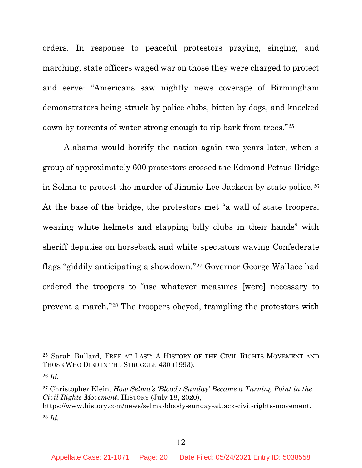orders. In response to peaceful protestors praying, singing, and marching, state officers waged war on those they were charged to protect and serve: "Americans saw nightly news coverage of Birmingham demonstrators being struck by police clubs, bitten by dogs, and knocked down by torrents of water strong enough to rip bark from trees."[25](#page-19-2)

Alabama would horrify the nation again two years later, when a group of approximately 600 protestors crossed the Edmond Pettus Bridge in Selma to protest the murder of Jimmie Lee Jackson by state police.[26](#page-19-3) At the base of the bridge, the protestors met "a wall of state troopers, wearing white helmets and slapping billy clubs in their hands" with sheriff deputies on horseback and white spectators waving Confederate flags "giddily anticipating a showdown."[27](#page-19-4) Governor George Wallace had ordered the troopers to "use whatever measures [were] necessary to prevent a march."[28](#page-19-5) The troopers obeyed, trampling the protestors with

<span id="page-19-5"></span><span id="page-19-4"></span><span id="page-19-0"></span><sup>27</sup> Christopher Klein, *How Selma's 'Bloody Sunday' Became a Turning Point in the Civil Rights Movement*, HISTORY (July 18, 2020), https://www.history.com/news/selma-bloody-sunday-attack-civil-rights-movement. <sup>28</sup> *Id.*

<span id="page-19-2"></span><span id="page-19-1"></span><sup>25</sup> Sarah Bullard, FREE AT LAST: A HISTORY OF THE CIVIL RIGHTS MOVEMENT AND THOSE WHO DIED IN THE STRUGGLE 430 (1993).

<span id="page-19-3"></span><sup>26</sup> *Id.*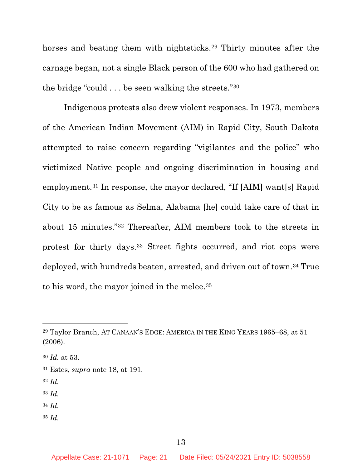horses and beating them with nightsticks.<sup>[29](#page-20-2)</sup> Thirty minutes after the carnage began, not a single Black person of the 600 who had gathered on the bridge "could . . . be seen walking the streets."[30](#page-20-3)

Indigenous protests also drew violent responses. In 1973, members of the American Indian Movement (AIM) in Rapid City, South Dakota attempted to raise concern regarding "vigilantes and the police" who victimized Native people and ongoing discrimination in housing and employment.[31](#page-20-4) In response, the mayor declared, "If [AIM] want[s] Rapid City to be as famous as Selma, Alabama [he] could take care of that in about 15 minutes."[32](#page-20-5) Thereafter, AIM members took to the streets in protest for thirty days.[33](#page-20-6) Street fights occurred, and riot cops were deployed, with hundreds beaten, arrested, and driven out of town.[34](#page-20-7) True to his word, the mayor joined in the melee.<sup>[35](#page-20-8)</sup>

- <span id="page-20-5"></span><sup>32</sup> *Id.*
- <span id="page-20-6"></span><sup>33</sup> *Id.*
- <span id="page-20-7"></span><sup>34</sup> *Id.*
- <span id="page-20-8"></span><sup>35</sup> *Id.*

<span id="page-20-2"></span><span id="page-20-1"></span><sup>29</sup> Taylor Branch, AT CANAAN'S EDGE: AMERICA IN THE KING YEARS 1965–68, at 51 (2006).

<span id="page-20-3"></span><sup>30</sup> *Id.* at 53.

<span id="page-20-4"></span><span id="page-20-0"></span><sup>31</sup> Estes, *supra* note 18, at 191.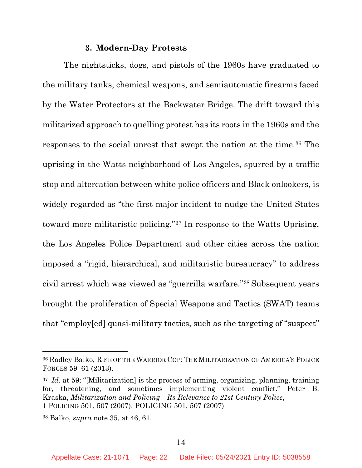### **3. Modern-Day Protests**

<span id="page-21-0"></span>The nightsticks, dogs, and pistols of the 1960s have graduated to the military tanks, chemical weapons, and semiautomatic firearms faced by the Water Protectors at the Backwater Bridge. The drift toward this militarized approach to quelling protest has its roots in the 1960s and the responses to the social unrest that swept the nation at the time.[36](#page-21-3) The uprising in the Watts neighborhood of Los Angeles, spurred by a traffic stop and altercation between white police officers and Black onlookers, is widely regarded as "the first major incident to nudge the United States toward more militaristic policing."[37](#page-21-4) In response to the Watts Uprising, the Los Angeles Police Department and other cities across the nation imposed a "rigid, hierarchical, and militaristic bureaucracy" to address civil arrest which was viewed as "guerrilla warfare."[38](#page-21-5) Subsequent years brought the proliferation of Special Weapons and Tactics (SWAT) teams that "employ[ed] quasi-military tactics, such as the targeting of "suspect"

<span id="page-21-3"></span><span id="page-21-2"></span><sup>36</sup> Radley Balko, RISE OF THE WARRIOR COP: THE MILITARIZATION OF AMERICA'S POLICE FORCES 59–61 (2013).

<span id="page-21-4"></span><span id="page-21-1"></span><sup>37</sup> *Id.* at 59; "[Militarization] is the process of arming, organizing, planning, training for, threatening, and sometimes implementing violent conflict." Peter B. Kraska, *Militarization and Policing*—*Its Relevance to 21st Century Police*, 1 POLICING 501, 507 (2007). POLICING 501, 507 (2007)

<span id="page-21-5"></span><sup>38</sup> Balko, *supra* note 35, at 46, 61.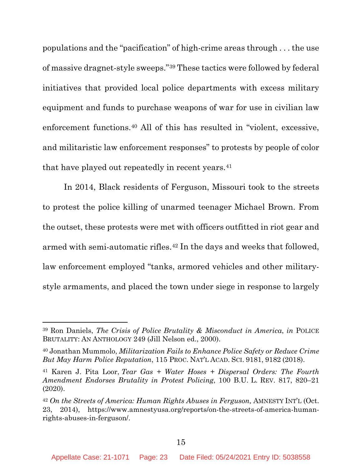populations and the "pacification" of high-crime areas through . . . the use of massive dragnet-style sweeps."[39](#page-22-4) These tactics were followed by federal initiatives that provided local police departments with excess military equipment and funds to purchase weapons of war for use in civilian law enforcement functions.[40](#page-22-5) All of this has resulted in "violent, excessive, and militaristic law enforcement responses" to protests by people of color that have played out repeatedly in recent years.<sup>[41](#page-22-6)</sup>

In 2014, Black residents of Ferguson, Missouri took to the streets to protest the police killing of unarmed teenager Michael Brown. From the outset, these protests were met with officers outfitted in riot gear and armed with semi-automatic rifles.[42](#page-22-7) In the days and weeks that followed, law enforcement employed "tanks, armored vehicles and other militarystyle armaments, and placed the town under siege in response to largely

<span id="page-22-4"></span><span id="page-22-3"></span><sup>39</sup> Ron Daniels, *The Crisis of Police Brutality & Misconduct in America*, *in* POLICE BRUTALITY: AN ANTHOLOGY 249 (Jill Nelson ed., 2000).

<span id="page-22-5"></span><span id="page-22-0"></span><sup>40</sup> Jonathan Mummolo, *Militarization Fails to Enhance Police Safety or Reduce Crime But May Harm Police Reputation*, 115 PROC. NAT'L ACAD. SCI. 9181, 9182 (2018).

<span id="page-22-6"></span><span id="page-22-1"></span><sup>41</sup> Karen J. Pita Loor, *Tear Gas + Water Hoses + Dispersal Orders: The Fourth Amendment Endorses Brutality in Protest Policing*, 100 B.U. L. REV. 817, 820–21 (2020).

<span id="page-22-7"></span><span id="page-22-2"></span><sup>42</sup> *On the Streets of America: Human Rights Abuses in Ferguson,* AMNESTY INT'L (Oct. 23, 2014), https://www.amnestyusa.org/reports/on-the-streets-of-america-humanrights-abuses-in-ferguson/.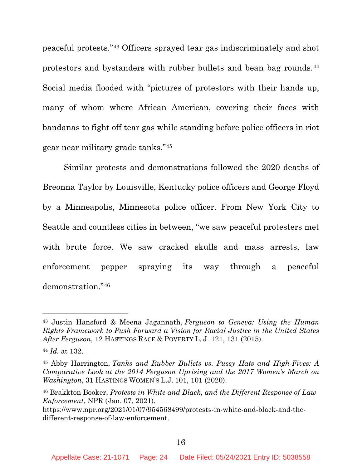peaceful protests."[43](#page-23-3) Officers sprayed tear gas indiscriminately and shot protestors and bystanders with rubber bullets and bean bag rounds.[44](#page-23-4) Social media flooded with "pictures of protestors with their hands up, many of whom where African American, covering their faces with bandanas to fight off tear gas while standing before police officers in riot gear near military grade tanks."[45](#page-23-5)

Similar protests and demonstrations followed the 2020 deaths of Breonna Taylor by Louisville, Kentucky police officers and George Floyd by a Minneapolis, Minnesota police officer. From New York City to Seattle and countless cities in between, "we saw peaceful protesters met with brute force. We saw cracked skulls and mass arrests, law enforcement pepper spraying its way through a peaceful demonstration."[46](#page-23-6)

<span id="page-23-3"></span><span id="page-23-2"></span><sup>43</sup> Justin Hansford & Meena Jagannath, *Ferguson to Geneva: Using the Human Rights Framework to Push Forward a Vision for Racial Justice in the United States After Ferguson*, 12 HASTINGS RACE & POVERTY L. J. 121, 131 (2015).

<span id="page-23-4"></span><sup>44</sup> *Id.* at 132.

<span id="page-23-5"></span><span id="page-23-0"></span><sup>45</sup> Abby Harrington, *Tanks and Rubber Bullets vs. Pussy Hats and High-Fives: A Comparative Look at the 2014 Ferguson Uprising and the 2017 Women's March on Washington*, 31 HASTINGS WOMEN'S L.J. 101, 101 (2020).

<span id="page-23-6"></span><span id="page-23-1"></span><sup>46</sup> Brakkton Booker, *Protests in White and Black, and the Different Response of Law Enforcement*, NPR (Jan. 07, 2021),

https://www.npr.org/2021/01/07/954568499/protests-in-white-and-black-and-thedifferent-response-of-law-enforcement.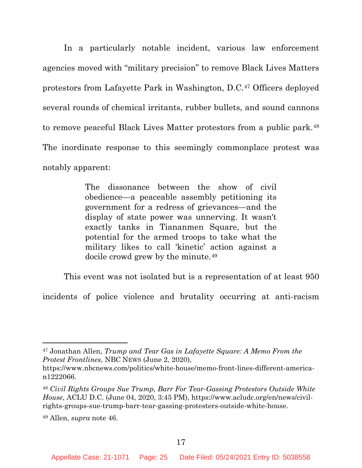In a particularly notable incident, various law enforcement agencies moved with "military precision" to remove Black Lives Matters protestors from Lafayette Park in Washington, D.C.[47](#page-24-2) Officers deployed several rounds of chemical irritants, rubber bullets, and sound cannons to remove peaceful Black Lives Matter protestors from a public park.[48](#page-24-3) The inordinate response to this seemingly commonplace protest was notably apparent:

> The dissonance between the show of civil obedience—a peaceable assembly petitioning its government for a redress of grievances—and the display of state power was unnerving. It wasn't exactly tanks in Tiananmen Square, but the potential for the armed troops to take what the military likes to call 'kinetic' action against a docile crowd grew by the minute.[49](#page-24-4)

This event was not isolated but is a representation of at least 950

incidents of police violence and brutality occurring at anti-racism

<span id="page-24-2"></span><span id="page-24-1"></span><sup>47</sup> Jonathan Allen, *Trump and Tear Gas in Lafayette Square: A Memo From the Protest Frontlines*, NBC NEWS (June 2, 2020),

https://www.nbcnews.com/politics/white-house/memo-front-lines-different-american1222066.

<span id="page-24-3"></span><span id="page-24-0"></span><sup>48</sup> *Civil Rights Groups Sue Trump, Barr For Tear-Gassing Protestors Outside White House*, ACLU D.C. (June 04, 2020, 3:45 PM), https://www.acludc.org/en/news/civilrights-groups-sue-trump-barr-tear-gassing-protesters-outside-white-house.

<span id="page-24-4"></span><sup>49</sup> Allen, *supra* note 46.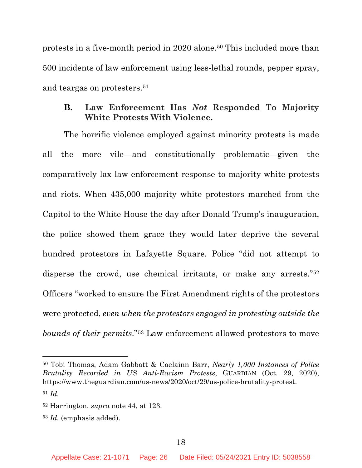protests in a five-month period in 2020 alone.[50](#page-25-3) This included more than 500 incidents of law enforcement using less-lethal rounds, pepper spray, and teargas on protesters.[51](#page-25-4)

### <span id="page-25-0"></span>**B. Law Enforcement Has** *Not* **Responded To Majority White Protests With Violence.**

The horrific violence employed against minority protests is made all the more vile—and constitutionally problematic—given the comparatively lax law enforcement response to majority white protests and riots. When 435,000 majority white protestors marched from the Capitol to the White House the day after Donald Trump's inauguration, the police showed them grace they would later deprive the several hundred protestors in Lafayette Square. Police "did not attempt to disperse the crowd, use chemical irritants, or make any arrests."<sup>[52](#page-25-5)</sup> Officers "worked to ensure the First Amendment rights of the protestors were protected, *even when the protestors engaged in protesting outside the bounds of their permits*."[53](#page-25-6) Law enforcement allowed protestors to move

<span id="page-25-3"></span><span id="page-25-2"></span><sup>50</sup> Tobi Thomas, Adam Gabbatt & Caelainn Barr, *Nearly 1,000 Instances of Police Brutality Recorded in US Anti-Racism Protests*, GUARDIAN (Oct. 29, 2020), https://www.theguardian.com/us-news/2020/oct/29/us-police-brutality-protest. <sup>51</sup> *Id.* 

<span id="page-25-5"></span><span id="page-25-4"></span><span id="page-25-1"></span><sup>52</sup> Harrington, *supra* note 44, at 123.

<span id="page-25-6"></span><sup>53</sup> *Id.* (emphasis added).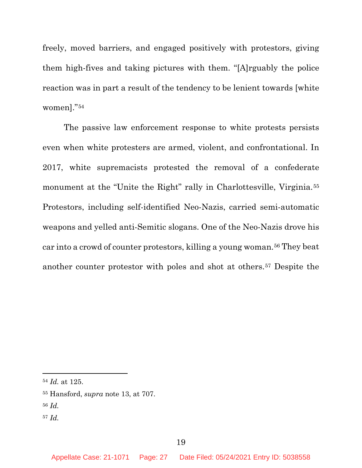freely, moved barriers, and engaged positively with protestors, giving them high-fives and taking pictures with them. "[A]rguably the police reaction was in part a result of the tendency to be lenient towards [white women]."[54](#page-26-1)

The passive law enforcement response to white protests persists even when white protesters are armed, violent, and confrontational. In 2017, white supremacists protested the removal of a confederate monument at the "Unite the Right" rally in Charlottesville, Virginia.<sup>[55](#page-26-2)</sup> Protestors, including self-identified Neo-Nazis, carried semi-automatic weapons and yelled anti-Semitic slogans. One of the Neo-Nazis drove his car into a crowd of counter protestors, killing a young woman.[56](#page-26-3) They beat another counter protestor with poles and shot at others.[57](#page-26-4) Despite the

<span id="page-26-4"></span><sup>57</sup> *Id.* 

<span id="page-26-1"></span><sup>54</sup> *Id.* at 125.

<span id="page-26-2"></span><span id="page-26-0"></span><sup>55</sup> Hansford, *supra* note 13, at 707.

<span id="page-26-3"></span><sup>56</sup> *Id.*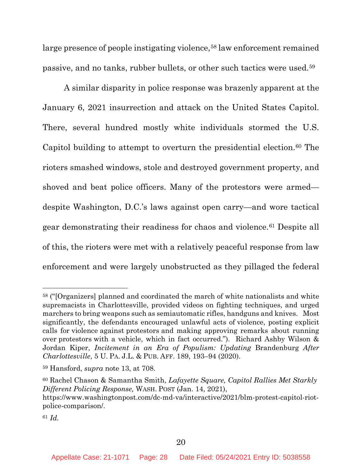large presence of people instigating violence,<sup>[58](#page-27-3)</sup> law enforcement remained passive, and no tanks, rubber bullets, or other such tactics were used.[59](#page-27-4)

A similar disparity in police response was brazenly apparent at the January 6, 2021 insurrection and attack on the United States Capitol. There, several hundred mostly white individuals stormed the U.S. Capitol building to attempt to overturn the presidential election.<sup>[60](#page-27-5)</sup> The rioters smashed windows, stole and destroyed government property, and shoved and beat police officers. Many of the protestors were armed despite Washington, D.C.'s laws against open carry—and wore tactical gear demonstrating their readiness for chaos and violence.[61](#page-27-6) Despite all of this, the rioters were met with a relatively peaceful response from law enforcement and were largely unobstructed as they pillaged the federal

<span id="page-27-3"></span><sup>58</sup> ("[Organizers] planned and coordinated the march of white nationalists and white supremacists in Charlottesville, provided videos on fighting techniques, and urged marchers to bring weapons such as semiautomatic rifles, handguns and knives. Most significantly, the defendants encouraged unlawful acts of violence, posting explicit calls for violence against protestors and making approving remarks about running over protestors with a vehicle, which in fact occurred."). Richard Ashby Wilson & Jordan Kiper, *Incitement in an Era of Populism: Updating* Brandenburg *After Charlottesville*, 5 U. PA. J.L. & PUB. AFF. 189, 193–94 (2020).

<span id="page-27-4"></span><span id="page-27-2"></span><span id="page-27-0"></span><sup>59</sup> Hansford, *supra* note 13, at 708.

<span id="page-27-5"></span><span id="page-27-1"></span><sup>60</sup> Rachel Chason & Samantha Smith, *Lafayette Square, Capitol Rallies Met Starkly Different Policing Response,* WASH. POST (Jan. 14, 2021),

https://www.washingtonpost.com/dc-md-va/interactive/2021/blm-protest-capitol-riotpolice-comparison/.

<span id="page-27-6"></span><sup>61</sup> *Id.*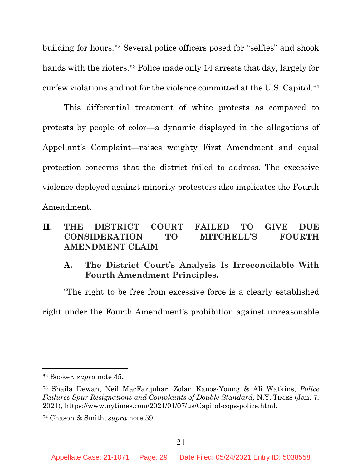building for hours.[62](#page-28-5) Several police officers posed for "selfies" and shook hands with the rioters.<sup>[63](#page-28-6)</sup> Police made only 14 arrests that day, largely for curfew violations and not for the violence committed at the U.S. Capitol.[64](#page-28-7)

This differential treatment of white protests as compared to protests by people of color—a dynamic displayed in the allegations of Appellant's Complaint—raises weighty First Amendment and equal protection concerns that the district failed to address. The excessive violence deployed against minority protestors also implicates the Fourth Amendment.

### <span id="page-28-0"></span>**II. THE DISTRICT COURT FAILED TO GIVE DUE CONSIDERATION TO MITCHELL'S FOURTH AMENDMENT CLAIM**

# <span id="page-28-1"></span>**A. The District Court's Analysis Is Irreconcilable With Fourth Amendment Principles.**

"The right to be free from excessive force is a clearly established right under the Fourth Amendment's prohibition against unreasonable

<span id="page-28-5"></span><span id="page-28-2"></span><sup>62</sup> Booker, *supra* note 45.

<span id="page-28-6"></span><span id="page-28-4"></span><sup>63</sup> Shaila Dewan, Neil MacFarquhar, Zolan Kanos-Young & Ali Watkins, *Police Failures Spur Resignations and Complaints of Double Standard,* N.Y. TIMES (Jan. 7, 2021), https://www.nytimes.com/2021/01/07/us/Capitol-cops-police.html.

<span id="page-28-7"></span><span id="page-28-3"></span><sup>64</sup> Chason & Smith, *supra* note 59.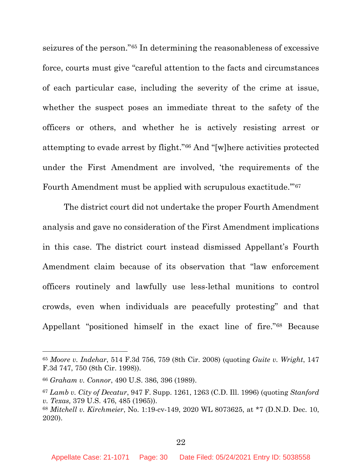seizures of the person."[65](#page-29-6) In determining the reasonableness of excessive force, courts must give "careful attention to the facts and circumstances of each particular case, including the severity of the crime at issue, whether the suspect poses an immediate threat to the safety of the officers or others, and whether he is actively resisting arrest or attempting to evade arrest by flight."[66](#page-29-7) And "[w]here activities protected under the First Amendment are involved, 'the requirements of the Fourth Amendment must be applied with scrupulous exactitude.'"[67](#page-29-8)

The district court did not undertake the proper Fourth Amendment analysis and gave no consideration of the First Amendment implications in this case. The district court instead dismissed Appellant's Fourth Amendment claim because of its observation that "law enforcement officers routinely and lawfully use less-lethal munitions to control crowds, even when individuals are peacefully protesting" and that Appellant "positioned himself in the exact line of fire."[68](#page-29-9) Because

<span id="page-29-6"></span><span id="page-29-4"></span><span id="page-29-1"></span><sup>65</sup> *Moore v. Indehar*, 514 F.3d 756, 759 (8th Cir. 2008) (quoting *Guite v. Wright*, 147 F.3d 747, 750 (8th Cir. 1998)).

<span id="page-29-7"></span><span id="page-29-0"></span><sup>66</sup> *Graham v. Connor*, 490 U.S. 386, 396 (1989).

<span id="page-29-8"></span><span id="page-29-5"></span><span id="page-29-2"></span><sup>67</sup> *Lamb v. City of Decatur*, 947 F. Supp. 1261, 1263 (C.D. Ill. 1996) (quoting *[Stanford](https://1.next.westlaw.com/Link/Document/FullText?findType=Y&serNum=1965125013&pubNum=0000708&originatingDoc=Idd907ea6565a11d9bf30d7fdf51b6bd4&refType=RP&fi=co_pp_sp_708_511&originationContext=document&transitionType=DocumentItem&contextData=(sc.Default)#co_pp_sp_708_511) v. [Texas,](https://1.next.westlaw.com/Link/Document/FullText?findType=Y&serNum=1965125013&pubNum=0000708&originatingDoc=Idd907ea6565a11d9bf30d7fdf51b6bd4&refType=RP&fi=co_pp_sp_708_511&originationContext=document&transitionType=DocumentItem&contextData=(sc.Default)#co_pp_sp_708_511)* 379 U.S. 476, 485 (1965)).

<span id="page-29-9"></span><span id="page-29-3"></span><sup>68</sup> *Mitchell v. Kirchmeier*, No. 1:19-cv-149, 2020 WL 8073625, at \*7 (D.N.D. Dec. 10, 2020).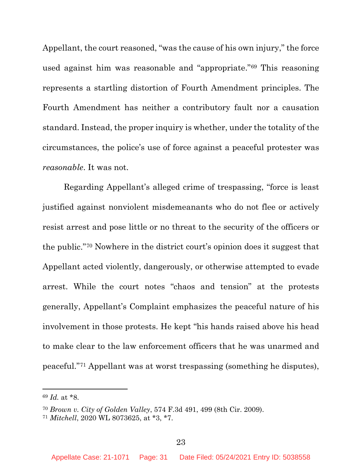Appellant, the court reasoned, "was the cause of his own injury," the force used against him was reasonable and "appropriate."[69](#page-30-2) This reasoning represents a startling distortion of Fourth Amendment principles. The Fourth Amendment has neither a contributory fault nor a causation standard. Instead, the proper inquiry is whether, under the totality of the circumstances, the police's use of force against a peaceful protester was *reasonable*. It was not.

Regarding Appellant's alleged crime of trespassing, "force is least justified against nonviolent misdemeanants who do not flee or actively resist arrest and pose little or no threat to the security of the officers or the public."[70](#page-30-3) Nowhere in the district court's opinion does it suggest that Appellant acted violently, dangerously, or otherwise attempted to evade arrest. While the court notes "chaos and tension" at the protests generally, Appellant's Complaint emphasizes the peaceful nature of his involvement in those protests. He kept "his hands raised above his head to make clear to the law enforcement officers that he was unarmed and peaceful."[71](#page-30-4) Appellant was at worst trespassing (something he disputes),

<span id="page-30-2"></span><sup>69</sup> *Id.* at \*8.

<span id="page-30-3"></span><span id="page-30-0"></span><sup>70</sup> *Brown v. City of Golden Valley*, 574 F.3d 491, 499 (8th Cir. 2009).

<span id="page-30-4"></span><span id="page-30-1"></span><sup>71</sup> *Mitchell*, 2020 WL 8073625, at \*3, \*7.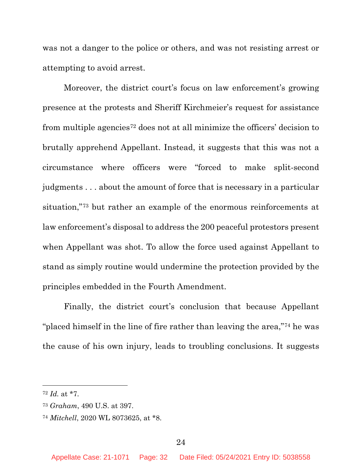was not a danger to the police or others, and was not resisting arrest or attempting to avoid arrest.

Moreover, the district court's focus on law enforcement's growing presence at the protests and Sheriff Kirchmeier's request for assistance from multiple agencies[72](#page-31-2) does not at all minimize the officers' decision to brutally apprehend Appellant. Instead, it suggests that this was not a circumstance where officers were "forced to make split-second judgments . . . about the amount of force that is necessary in a particular situation,"[73](#page-31-3) but rather an example of the enormous reinforcements at law enforcement's disposal to address the 200 peaceful protestors present when Appellant was shot. To allow the force used against Appellant to stand as simply routine would undermine the protection provided by the principles embedded in the Fourth Amendment.

Finally, the district court's conclusion that because Appellant "placed himself in the line of fire rather than leaving the area,"[74](#page-31-4) he was the cause of his own injury, leads to troubling conclusions. It suggests

<span id="page-31-2"></span><span id="page-31-1"></span><sup>72</sup> *Id.* at \*7.

<span id="page-31-3"></span><span id="page-31-0"></span><sup>73</sup> *Graham*, 490 U.S. at 397.

<span id="page-31-4"></span><sup>74</sup> *Mitchell*, 2020 WL 8073625, at \*8.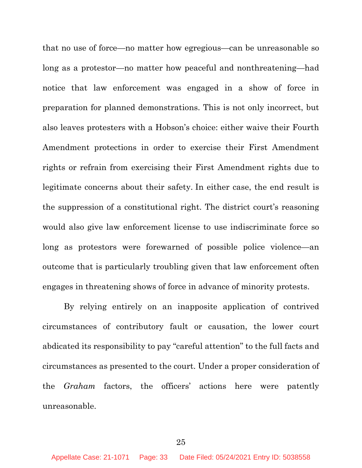that no use of force—no matter how egregious—can be unreasonable so long as a protestor—no matter how peaceful and nonthreatening—had notice that law enforcement was engaged in a show of force in preparation for planned demonstrations. This is not only incorrect, but also leaves protesters with a Hobson's choice: either waive their Fourth Amendment protections in order to exercise their First Amendment rights or refrain from exercising their First Amendment rights due to legitimate concerns about their safety. In either case, the end result is the suppression of a constitutional right. The district court's reasoning would also give law enforcement license to use indiscriminate force so long as protestors were forewarned of possible police violence—an outcome that is particularly troubling given that law enforcement often engages in threatening shows of force in advance of minority protests.

<span id="page-32-0"></span>By relying entirely on an inapposite application of contrived circumstances of contributory fault or causation, the lower court abdicated its responsibility to pay "careful attention" to the full facts and circumstances as presented to the court. Under a proper consideration of the *Graham* factors, the officers' actions here were patently unreasonable.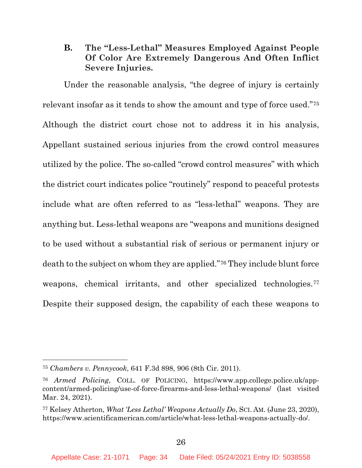# <span id="page-33-0"></span>**B. The "Less-Lethal" Measures Employed Against People Of Color Are Extremely Dangerous And Often Inflict Severe Injuries.**

Under the reasonable analysis, "the degree of injury is certainly relevant insofar as it tends to show the amount and type of force used."[75](#page-33-4) Although the district court chose not to address it in his analysis, Appellant sustained serious injuries from the crowd control measures utilized by the police. The so-called "crowd control measures" with which the district court indicates police "routinely" respond to peaceful protests include what are often referred to as "less-lethal" weapons. They are anything but. Less-lethal weapons are "weapons and munitions designed to be used without a substantial risk of serious or permanent injury or death to the subject on whom they are applied."[76](#page-33-5) They include blunt force weapons, chemical irritants, and other specialized technologies.<sup>[77](#page-33-6)</sup> Despite their supposed design, the capability of each these weapons to

<span id="page-33-4"></span><span id="page-33-1"></span><sup>75</sup> *Chambers v. Pennycook*, 641 F.3d 898, 906 (8th Cir. 2011).

<span id="page-33-5"></span><span id="page-33-2"></span><sup>76</sup> *Armed Policing*, COLL. OF POLICING, https://www.app.college.police.uk/appcontent/armed-policing/use-of-force-firearms-and-less-lethal-weapons/ (last visited Mar. 24, 2021).

<span id="page-33-6"></span><span id="page-33-3"></span><sup>77</sup> Kelsey Atherton, *What 'Less Lethal' Weapons Actually Do*, SCI. AM. (June 23, 2020), https://www.scientificamerican.com/article/what-less-lethal-weapons-actually-do/.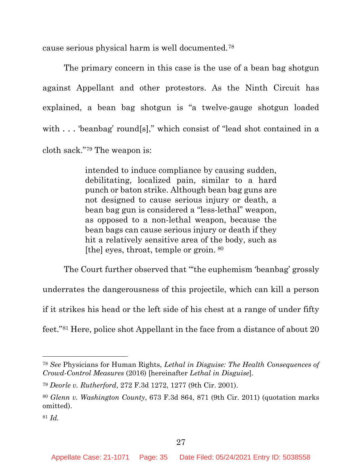cause serious physical harm is well documented.[78](#page-34-4)

The primary concern in this case is the use of a bean bag shotgun against Appellant and other protestors. As the Ninth Circuit has explained, a bean bag shotgun is "a twelve-gauge shotgun loaded with . . . 'beanbag' round[s]," which consist of "lead shot contained in a cloth sack."[79](#page-34-5) The weapon is:

> intended to induce compliance by causing sudden, debilitating, localized pain, similar to a hard punch or baton strike. Although bean bag guns are not designed to cause serious injury or death, a bean bag gun is considered a "less-lethal" weapon, as opposed to a non-lethal weapon, because the bean bags can cause serious injury or death if they hit a relatively sensitive area of the body, such as [the] eyes, throat, temple or groin. [80](#page-34-6)

The Court further observed that "'the euphemism 'beanbag' grossly underrates the dangerousness of this projectile, which can kill a person if it strikes his head or the left side of his chest at a range of under fifty feet."[81](#page-34-7) Here, police shot Appellant in the face from a distance of about 20

<span id="page-34-4"></span><span id="page-34-3"></span><sup>78</sup> *See* Physicians for Human Rights, *Lethal in Disguise: The Health Consequences of Crowd-Control Measures* (2016) [hereinafter *Lethal in Disguise*].

<span id="page-34-5"></span><span id="page-34-0"></span><sup>79</sup> *Deorle v. Rutherford*, 272 F.3d 1272, 1277 (9th Cir. 2001).

<span id="page-34-6"></span><span id="page-34-1"></span><sup>80</sup> *Glenn v. Washington County*, 673 F.3d 864, 871 (9th Cir. 2011) (quotation marks omitted).

<span id="page-34-7"></span><span id="page-34-2"></span><sup>81</sup> *Id.*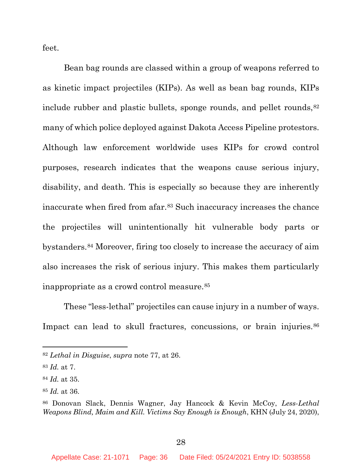feet.

Bean bag rounds are classed within a group of weapons referred to as kinetic impact projectiles (KIPs). As well as bean bag rounds, KIPs include rubber and plastic bullets, sponge rounds, and pellet rounds,  $82$ many of which police deployed against Dakota Access Pipeline protestors. Although law enforcement worldwide uses KIPs for crowd control purposes, research indicates that the weapons cause serious injury, disability, and death. This is especially so because they are inherently inaccurate when fired from afar.[83](#page-35-3) Such inaccuracy increases the chance the projectiles will unintentionally hit vulnerable body parts or bystanders.[84](#page-35-4) Moreover, firing too closely to increase the accuracy of aim also increases the risk of serious injury. This makes them particularly inappropriate as a crowd control measure.[85](#page-35-5)

These "less-lethal" projectiles can cause injury in a number of ways. Impact can lead to skull fractures, concussions, or brain injuries.<sup>[86](#page-35-6)</sup>

<span id="page-35-2"></span><span id="page-35-1"></span><sup>82</sup> *Lethal in Disguise*, *supra* note 77, at 26.

<span id="page-35-3"></span><sup>83</sup> *Id.* at 7.

<span id="page-35-4"></span><sup>84</sup> *Id.* at 35.

<span id="page-35-5"></span><sup>85</sup> *Id.* at 36.

<span id="page-35-6"></span><span id="page-35-0"></span><sup>86</sup> Donovan Slack, Dennis Wagner, Jay Hancock & Kevin McCoy, *Less-Lethal Weapons Blind, Maim and Kill. Victims Say Enough is Enough*, KHN (July 24, 2020),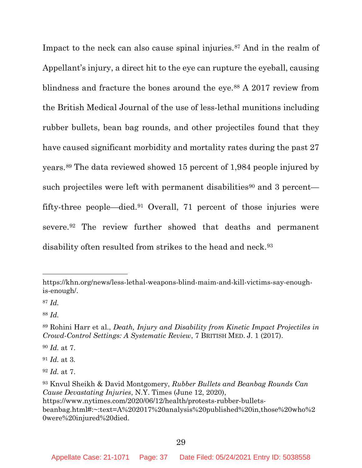Impact to the neck can also cause spinal injuries.<sup>[87](#page-36-2)</sup> And in the realm of Appellant's injury, a direct hit to the eye can rupture the eyeball, causing blindness and fracture the bones around the eye.[88](#page-36-3) A 2017 review from the British Medical Journal of the use of less-lethal munitions including rubber bullets, bean bag rounds, and other projectiles found that they have caused significant morbidity and mortality rates during the past 27 years.[89](#page-36-4) The data reviewed showed 15 percent of 1,984 people injured by such projectiles were left with permanent disabilities<sup>[90](#page-36-5)</sup> and 3 percent fifty-three people—died.[91](#page-36-6) Overall, 71 percent of those injuries were severe.[92](#page-36-7) The review further showed that deaths and permanent disability often resulted from strikes to the head and neck.<sup>93</sup>

<span id="page-36-5"></span><sup>90</sup> *Id.* at 7.

<span id="page-36-6"></span><sup>91</sup> *Id.* at 3*.* 

<span id="page-36-7"></span><sup>92</sup> *Id.* at 7.

https://khn.org/news/less-lethal-weapons-blind-maim-and-kill-victims-say-enoughis-enough/.

<span id="page-36-2"></span><sup>87</sup> *Id.* 

<span id="page-36-3"></span><sup>88</sup> *Id.* 

<span id="page-36-4"></span><span id="page-36-1"></span><sup>89</sup> Rohini Harr et al., *Death, Injury and Disability from Kinetic Impact Projectiles in Crowd-Control Settings: A Systematic Review*, 7 BRITISH MED. J. 1 (2017).

<span id="page-36-8"></span><span id="page-36-0"></span><sup>93</sup> Knvul Sheikh & David Montgomery, *Rubber Bullets and Beanbag Rounds Can Cause Devastating Injuries*, N.Y. Times (June 12, 2020),

https://www.nytimes.com/2020/06/12/health/protests-rubber-bulletsbeanbag.html#:~:text=A%202017%20analysis%20published%20in,those%20who%2 0were%20injured%20died.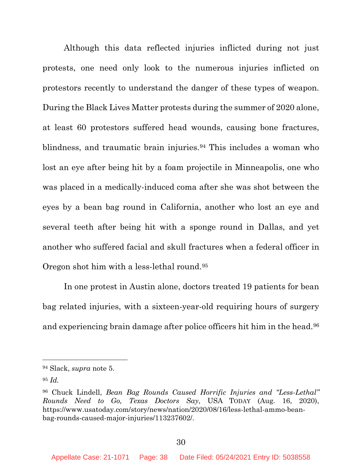Although this data reflected injuries inflicted during not just protests, one need only look to the numerous injuries inflicted on protestors recently to understand the danger of these types of weapon. During the Black Lives Matter protests during the summer of 2020 alone, at least 60 protestors suffered head wounds, causing bone fractures, blindness, and traumatic brain injuries.<sup>[94](#page-37-2)</sup> This includes a woman who lost an eye after being hit by a foam projectile in Minneapolis, one who was placed in a medically-induced coma after she was shot between the eyes by a bean bag round in California, another who lost an eye and several teeth after being hit with a sponge round in Dallas, and yet another who suffered facial and skull fractures when a federal officer in Oregon shot him with a less-lethal round.[95](#page-37-3) 

In one protest in Austin alone, doctors treated 19 patients for bean bag related injuries, with a sixteen-year-old requiring hours of surgery and experiencing brain damage after police officers hit him in the head.[96](#page-37-4)

<span id="page-37-2"></span><span id="page-37-1"></span><sup>94</sup> Slack, *supra* note 5.

<span id="page-37-3"></span><sup>95</sup> *Id.*

<span id="page-37-4"></span><span id="page-37-0"></span><sup>96</sup> Chuck Lindell, *Bean Bag Rounds Caused Horrific Injuries and "Less-Lethal" Rounds Need to Go, Texas Doctors Say*, USA TODAY (Aug. 16, 2020), https://www.usatoday.com/story/news/nation/2020/08/16/less-lethal-ammo-beanbag-rounds-caused-major-injuries/113237602/.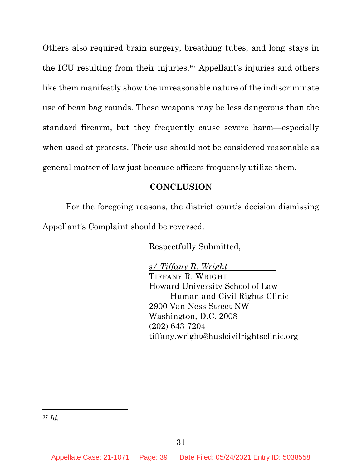Others also required brain surgery, breathing tubes, and long stays in the ICU resulting from their injuries.[97](#page-38-1) Appellant's injuries and others like them manifestly show the unreasonable nature of the indiscriminate use of bean bag rounds. These weapons may be less dangerous than the standard firearm, but they frequently cause severe harm—especially when used at protests. Their use should not be considered reasonable as general matter of law just because officers frequently utilize them.

### **CONCLUSION**

<span id="page-38-0"></span>For the foregoing reasons, the district court's decision dismissing Appellant's Complaint should be reversed.

Respectfully Submitted,

*s/ Tiffany R. Wright* TIFFANY R. WRIGHT Howard University School of Law Human and Civil Rights Clinic 2900 Van Ness Street NW Washington, D.C. 2008 (202) 643-7204 tiffany.wright@huslcivilrightsclinic.org

<span id="page-38-1"></span><sup>97</sup> *Id.*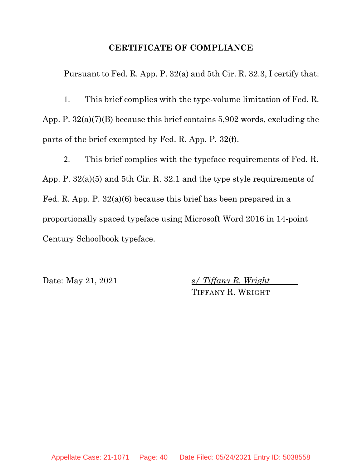# **CERTIFICATE OF COMPLIANCE**

Pursuant to Fed. R. App. P. 32(a) and 5th Cir. R. 32.3, I certify that:

1. This brief complies with the type-volume limitation of Fed. R. App. P. 32(a)(7)(B) because this brief contains 5,902 words, excluding the parts of the brief exempted by Fed. R. App. P. 32(f).

2. This brief complies with the typeface requirements of Fed. R. App. P. 32(a)(5) and 5th Cir. R. 32.1 and the type style requirements of Fed. R. App. P. 32(a)(6) because this brief has been prepared in a proportionally spaced typeface using Microsoft Word 2016 in 14-point Century Schoolbook typeface.

Date: May 21, 2021 *s/ Tiffany R. Wright* TIFFANY R. WRIGHT